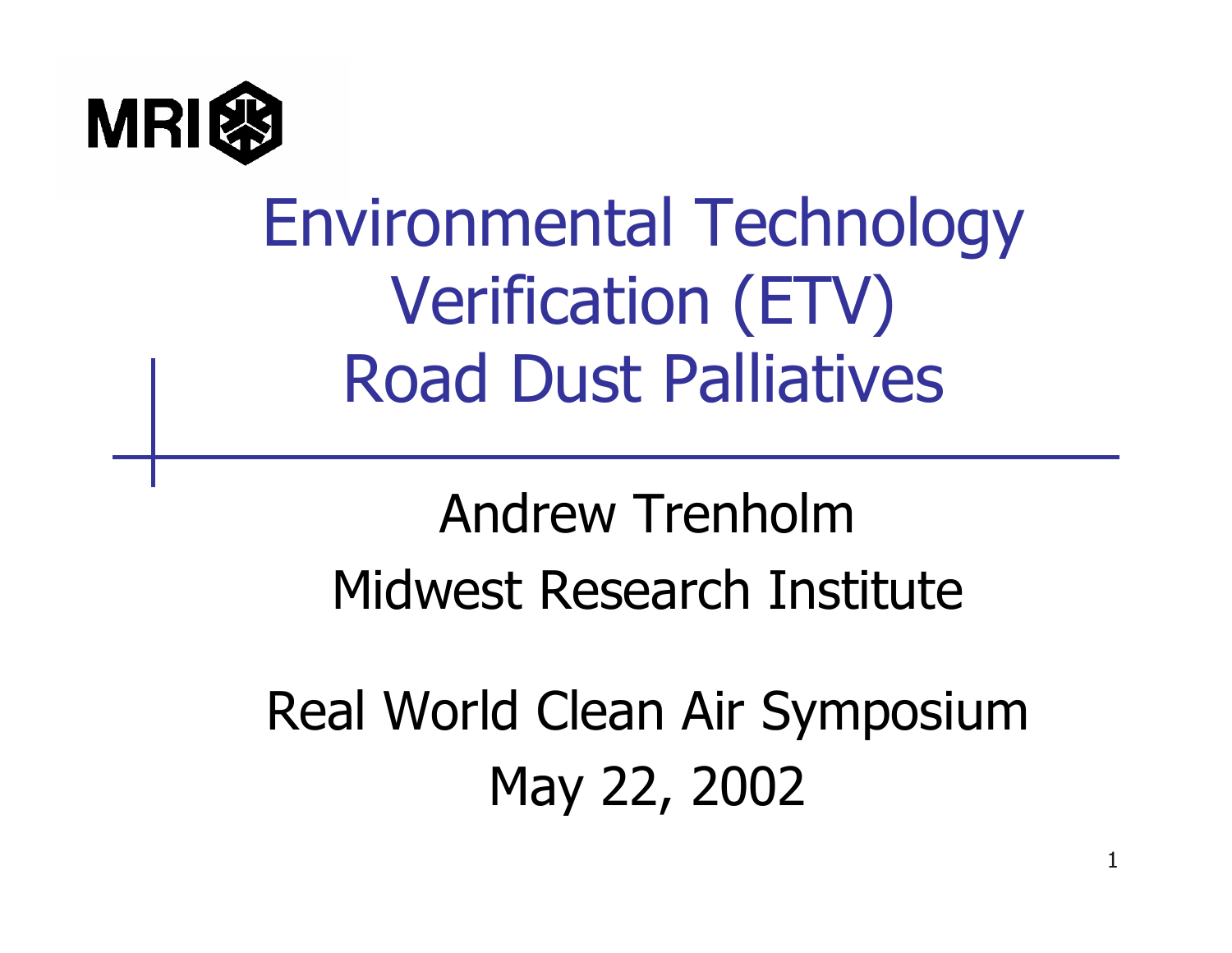

## Environmental Technology Verification (ETV) Road Dust Palliatives

#### Andrew TrenholmMidwest Research Institute

Real World Clean Air Symposium May 22, 2002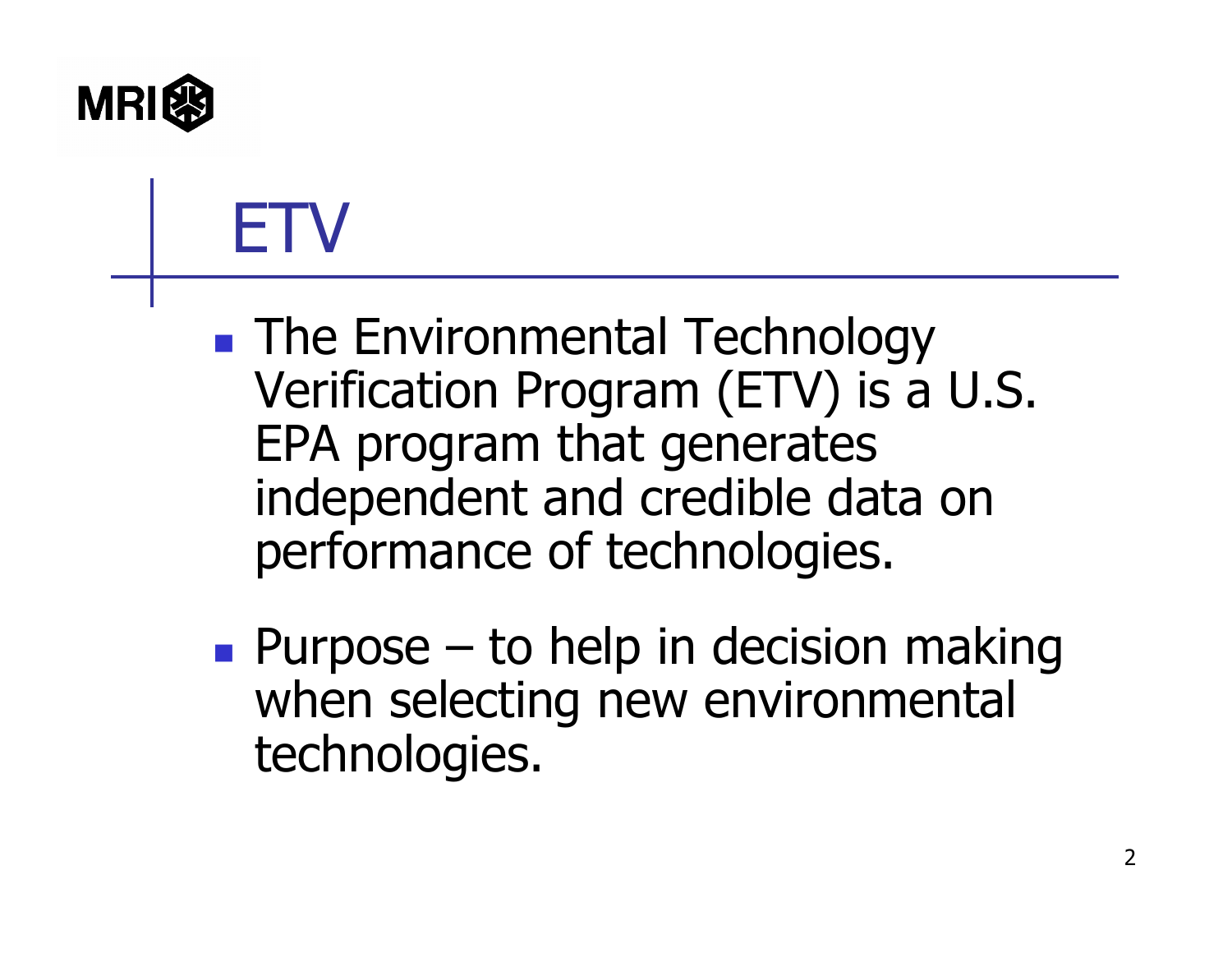

# ETV

**The Environmental Technology** Verification Program (ETV) is a U.S. EPA program that generates independent and credible data on performance of technologies.

**Purpose – to help in decision making** when selecting new environmental technologies.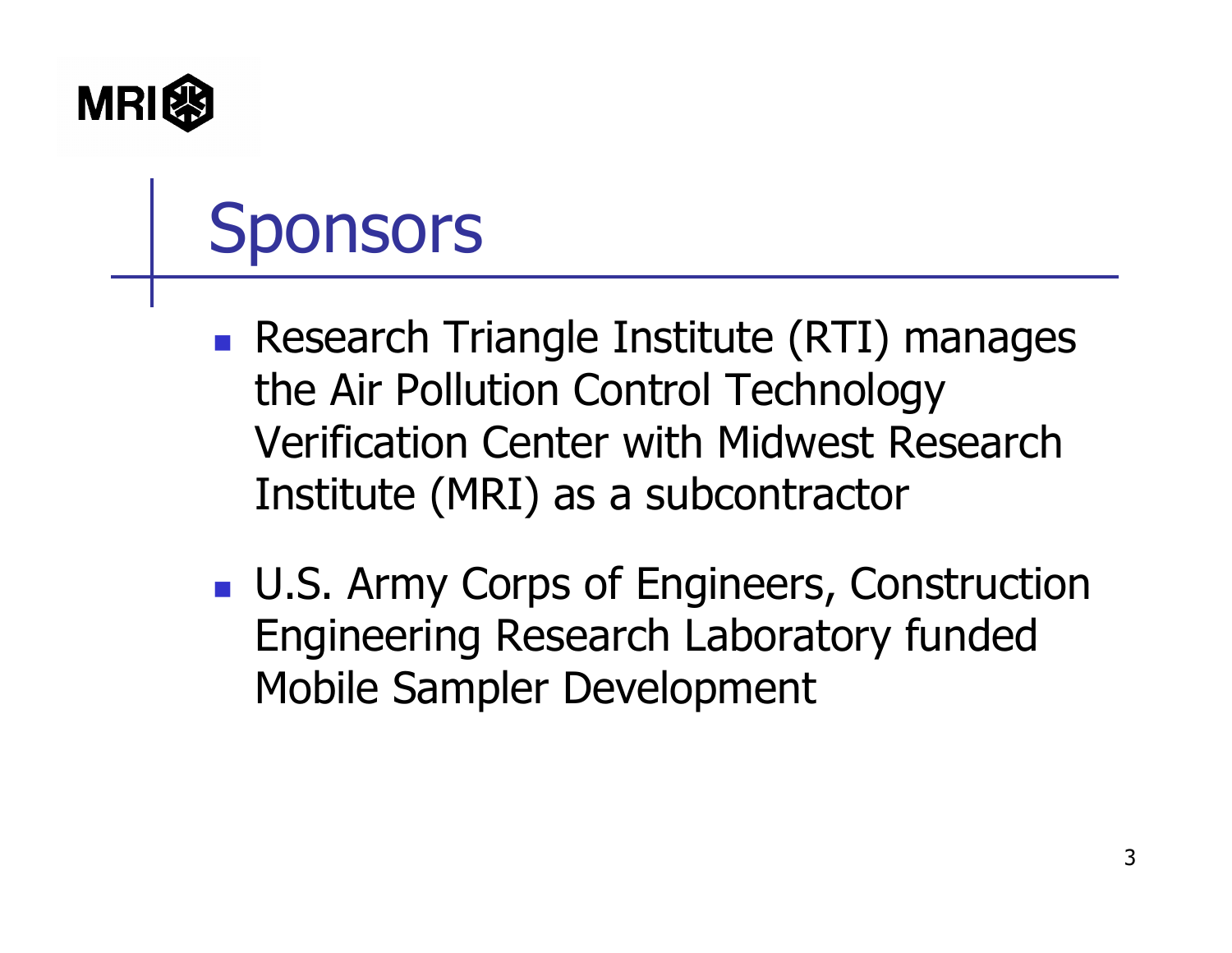

# Sponsors

- **Research Triangle Institute (RTI) manages** the Air Pollution Control Technology Verification Center with Midwest Research Institute (MRI) as a subcontractor
- **U.S. Army Corps of Engineers, Construction** Engineering Research Laboratory funded Mobile Sampler Development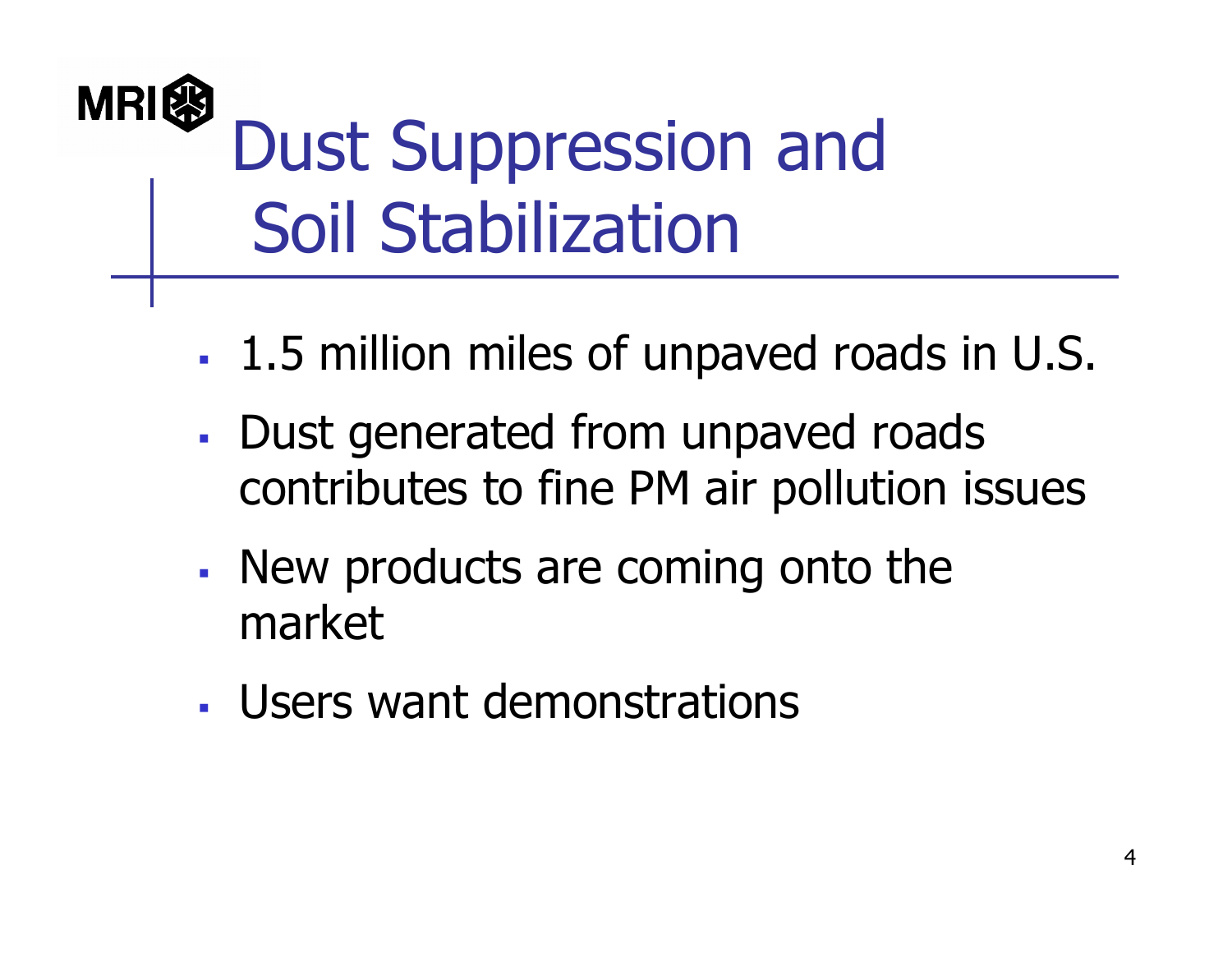#### **MRI&** Dust Suppression and Soil Stabilization

- П 1.5 million miles of unpaved roads in U.S.
- a. Dust generated from unpaved roads contributes to fine PM air pollution issues
- П New products are coming onto the market
- Users want demonstrations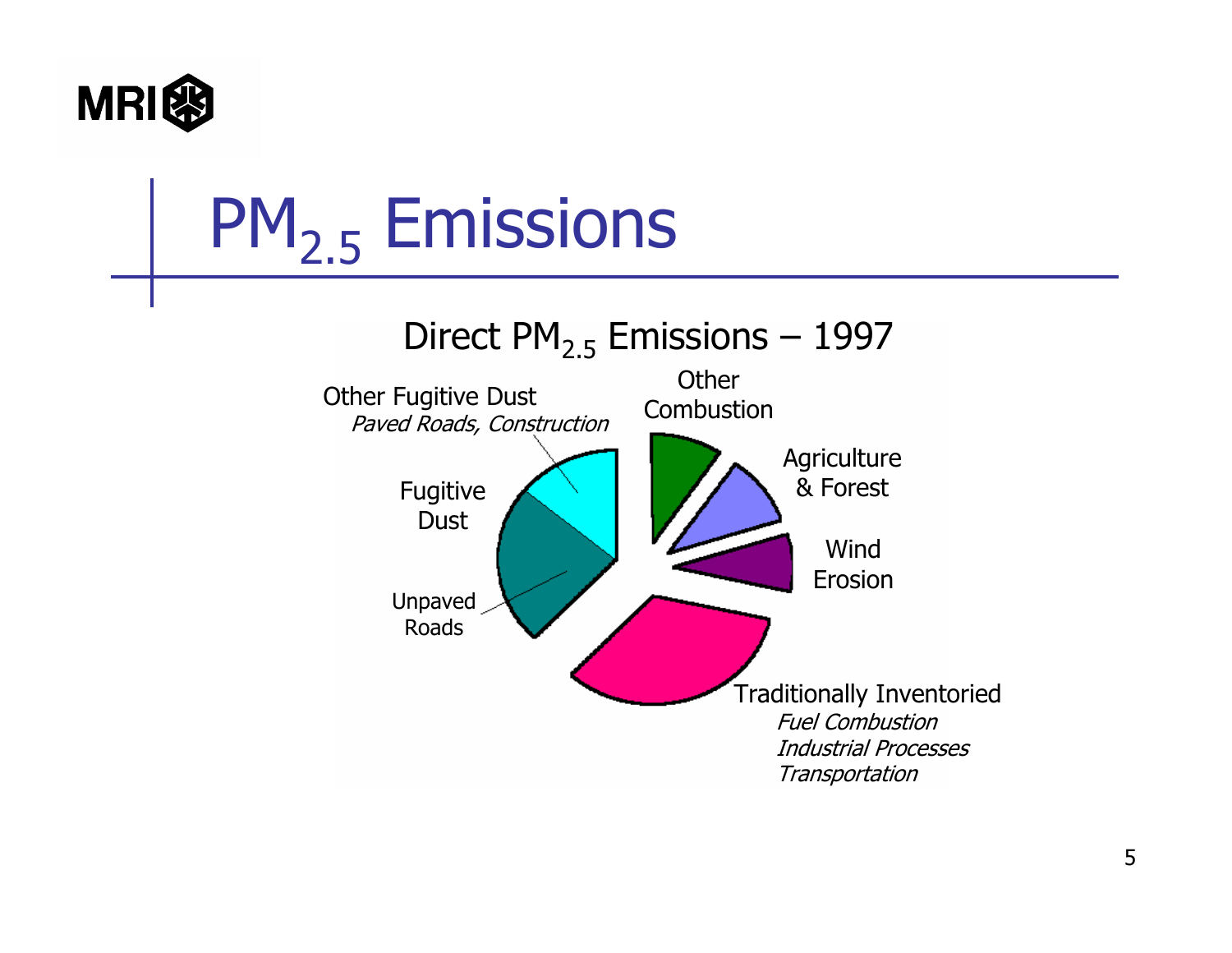

# PM<sub>2.5</sub> Emissions

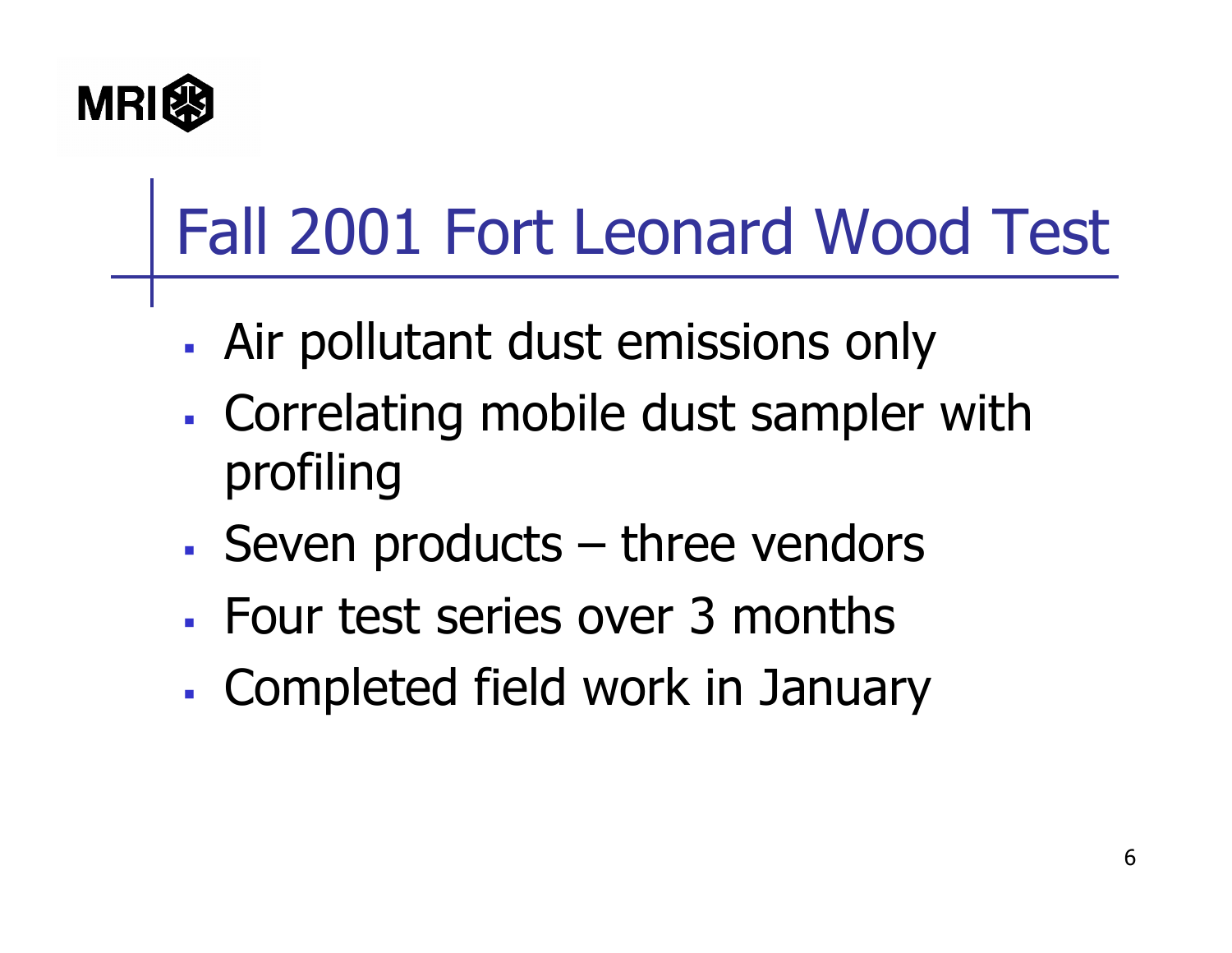

# Fall 2001 Fort Leonard Wood Test

- Air pollutant dust emissions only
- **Service Service**  Correlating mobile dust sampler with profiling
- Seven products – three vendors
- Four test series over 3 months
- **Service Service** Completed field work in January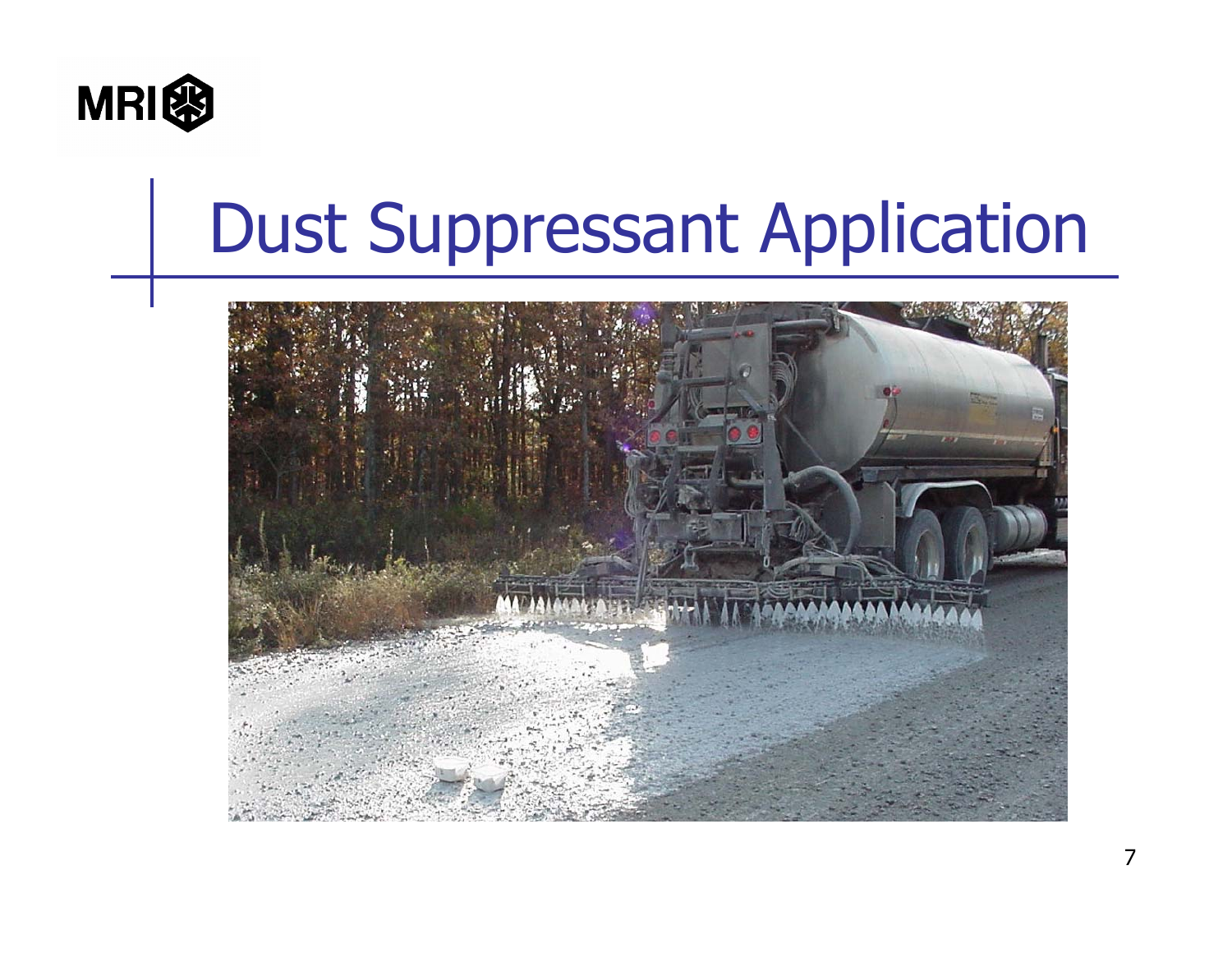

## Dust Suppressant Application

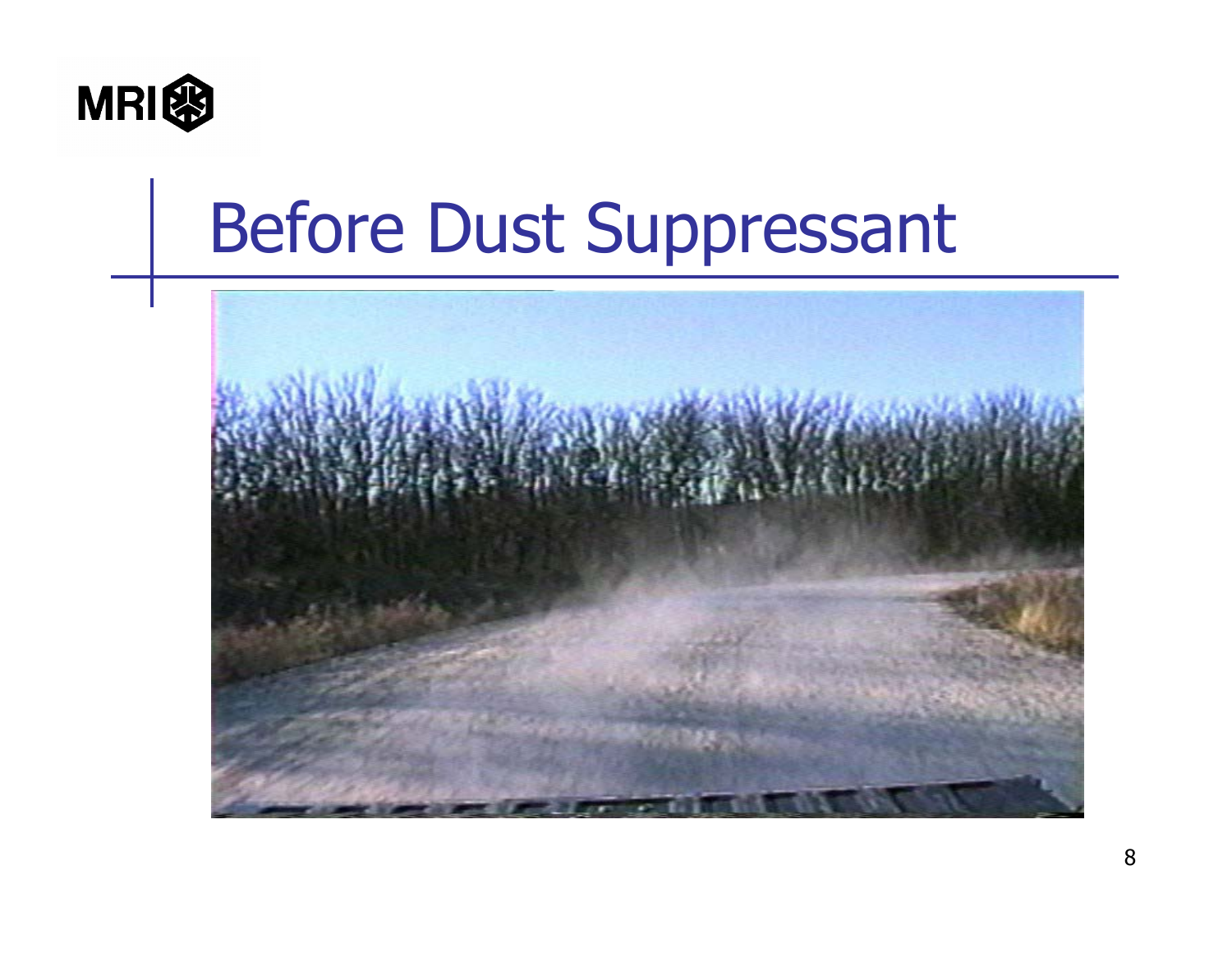

#### Before Dust Suppressant

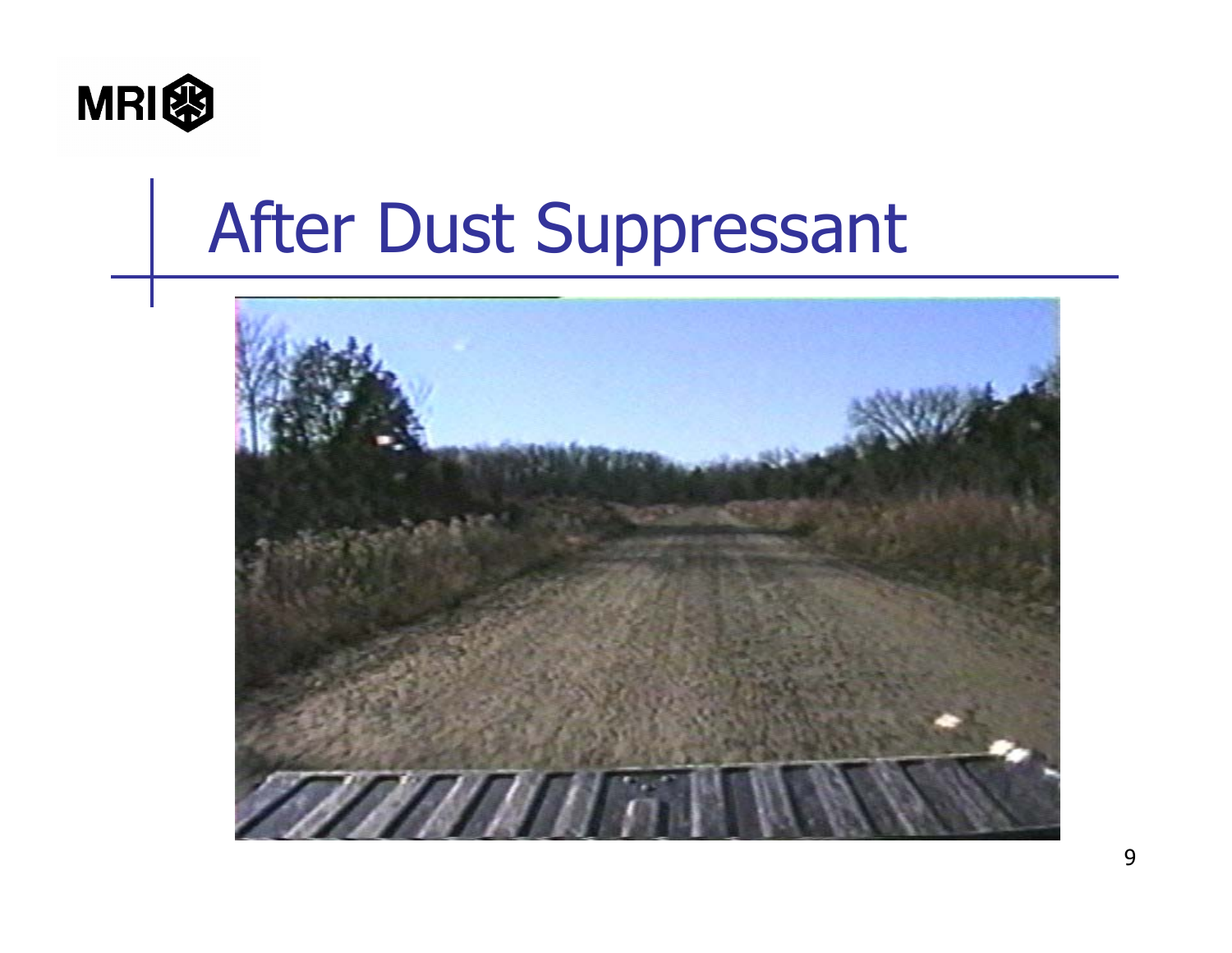

#### After Dust Suppressant

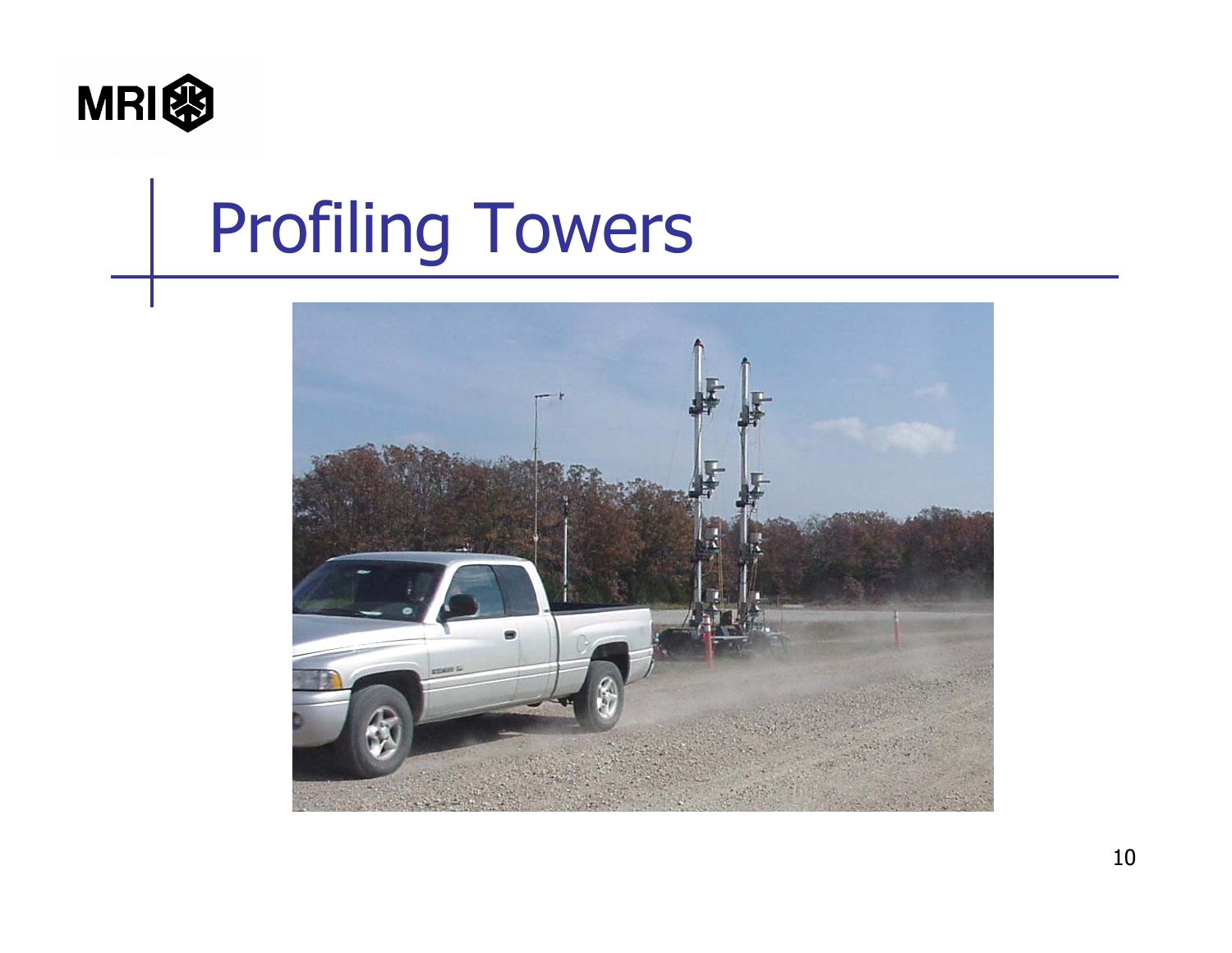

# Profiling Towers

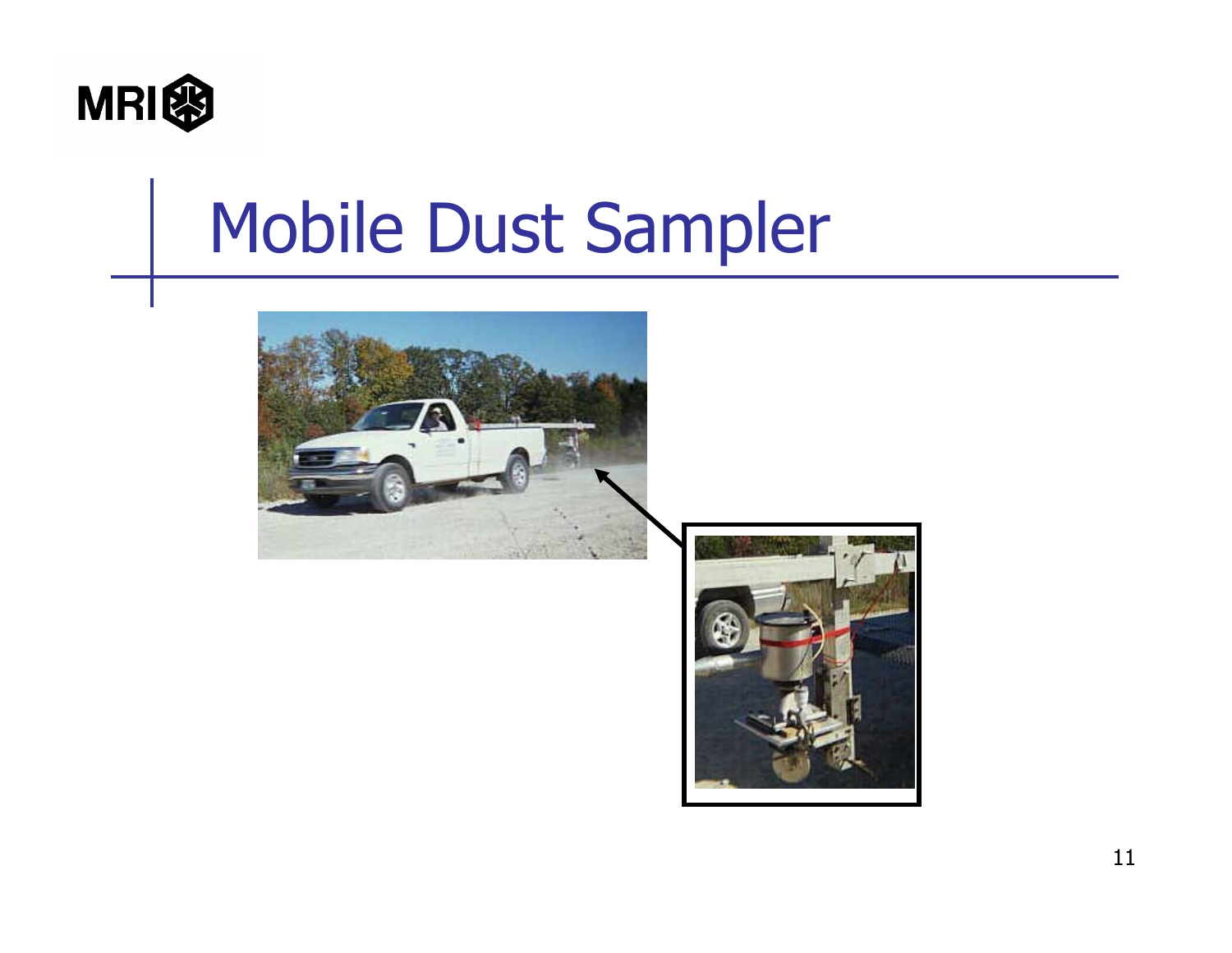

#### Mobile Dust Sampler



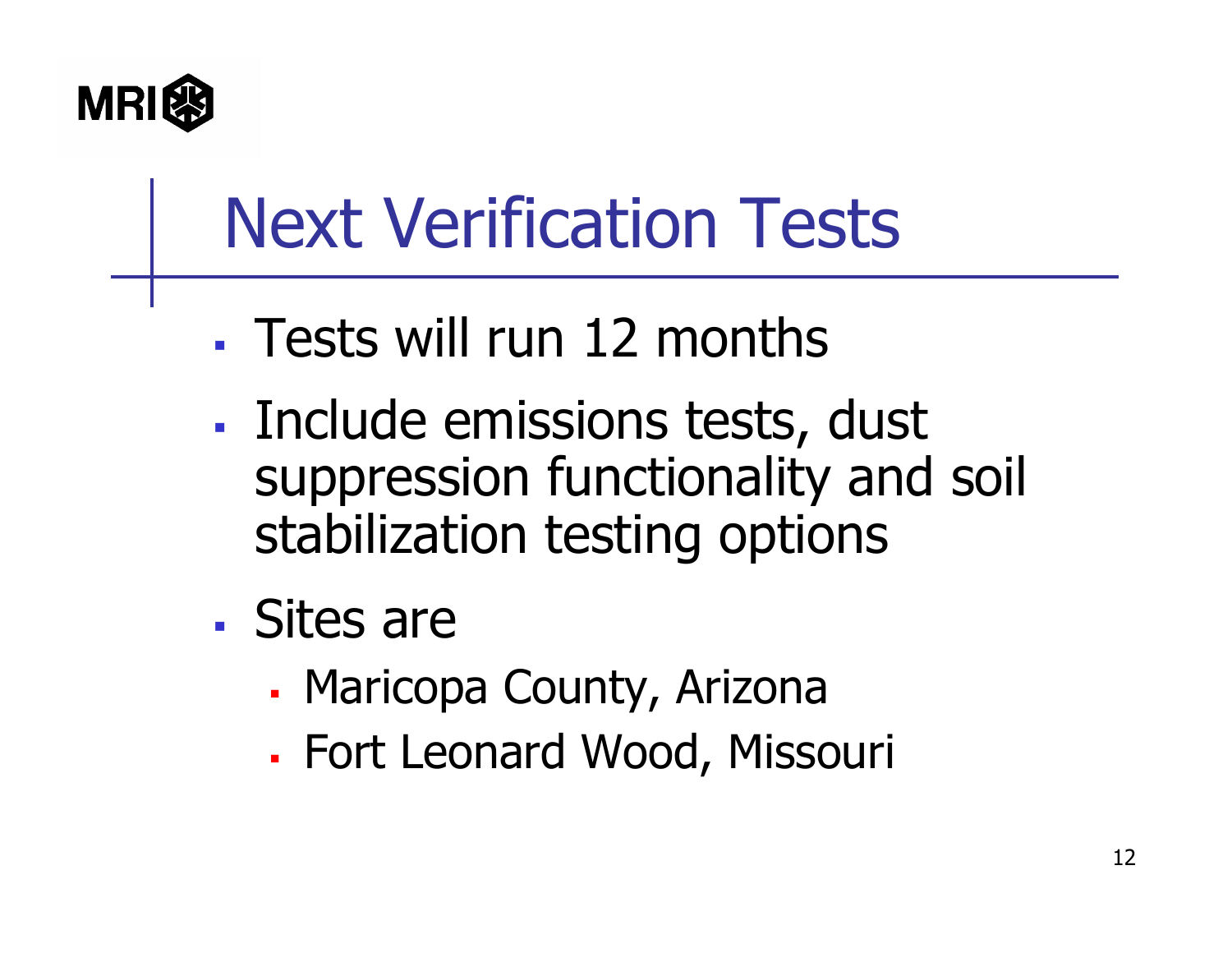

# Next Verification Tests

- Tests will run 12 months
- **Service Service**  Include emissions tests, dust suppression functionality and soil stabilization testing options
- Sites are
	- Г Maricopa County, Arizona
	- Г Fort Leonard Wood, Missouri